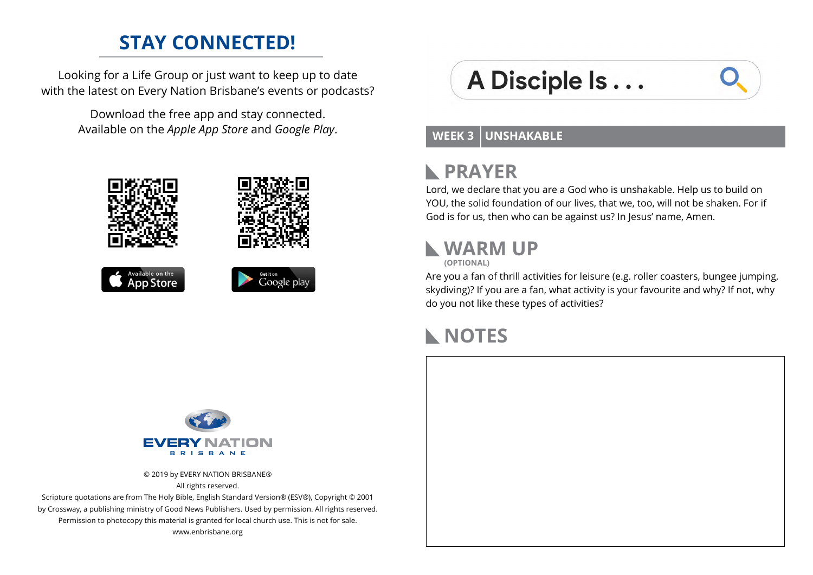#### **STAY CONNECTED!**

Looking for a Life Group or just want to keep up to date with the latest on Every Nation Brisbane's events or podcasts?

> Download the free app and stay connected. Available on the *Apple App Store* and *Google Play*.



# A Disciple Is...



#### **WEEK 3 UNSHAKABLE**

#### **PRAYER**  $\mathbb{R}$

Lord, we declare that you are a God who is unshakable. Help us to build on YOU, the solid foundation of our lives, that we, too, will not be shaken. For if God is for us, then who can be against us? In Jesus' name, Amen.

# **WARM UP**

**(OPTIONAL)**

Are you a fan of thrill activities for leisure (e.g. roller coasters, bungee jumping, skydiving)? If you are a fan, what activity is your favourite and why? If not, why do you not like these types of activities?

### **NOTES**



© 2019 by EVERY NATION BRISBANE® All rights reserved.

Scripture quotations are from The Holy Bible, English Standard Version® (ESV®), Copyright © 2001 by Crossway, a publishing ministry of Good News Publishers. Used by permission. All rights reserved. Permission to photocopy this material is granted for local church use. This is not for sale. www.enbrisbane.org